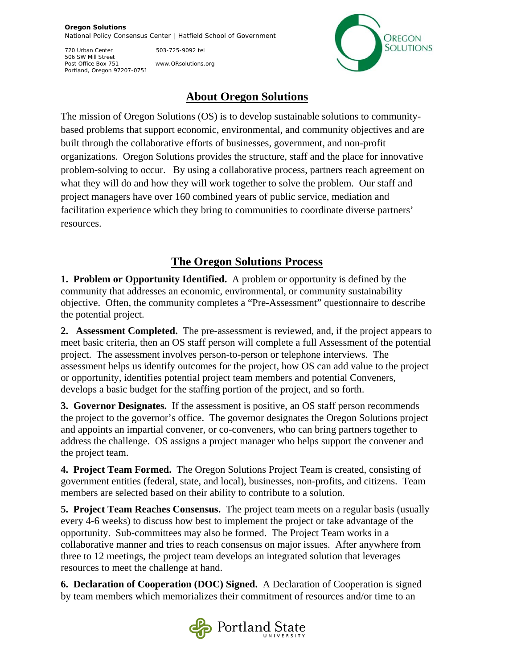## **Oregon Solutions**  National Policy Consensus Center | Hatfield School of Government

720 Urban Center 503-725-9092 tel 506 SW Mill Street Post Office Box 751 www.ORsolutions.org Portland, Oregon 97207-0751



## **About Oregon Solutions**

The mission of Oregon Solutions (OS) is to develop sustainable solutions to communitybased problems that support economic, environmental, and community objectives and are built through the collaborative efforts of businesses, government, and non-profit organizations. Oregon Solutions provides the structure, staff and the place for innovative problem-solving to occur. By using a collaborative process, partners reach agreement on what they will do and how they will work together to solve the problem. Our staff and project managers have over 160 combined years of public service, mediation and facilitation experience which they bring to communities to coordinate diverse partners' resources.

## **The Oregon Solutions Process**

**1. Problem or Opportunity Identified.** A problem or opportunity is defined by the community that addresses an economic, environmental, or community sustainability objective. Often, the community completes a "Pre-Assessment" questionnaire to describe the potential project.

**2. Assessment Completed.** The pre-assessment is reviewed, and, if the project appears to meet basic criteria, then an OS staff person will complete a full Assessment of the potential project. The assessment involves person-to-person or telephone interviews. The assessment helps us identify outcomes for the project, how OS can add value to the project or opportunity, identifies potential project team members and potential Conveners, develops a basic budget for the staffing portion of the project, and so forth.

**3. Governor Designates.** If the assessment is positive, an OS staff person recommends the project to the governor's office. The governor designates the Oregon Solutions project and appoints an impartial convener, or co-conveners, who can bring partners together to address the challenge. OS assigns a project manager who helps support the convener and the project team.

**4. Project Team Formed.** The Oregon Solutions Project Team is created, consisting of government entities (federal, state, and local), businesses, non-profits, and citizens. Team members are selected based on their ability to contribute to a solution.

**5. Project Team Reaches Consensus.** The project team meets on a regular basis (usually every 4-6 weeks) to discuss how best to implement the project or take advantage of the opportunity. Sub-committees may also be formed. The Project Team works in a collaborative manner and tries to reach consensus on major issues. After anywhere from three to 12 meetings, the project team develops an integrated solution that leverages resources to meet the challenge at hand.

**6. Declaration of Cooperation (DOC) Signed.** A Declaration of Cooperation is signed by team members which memorializes their commitment of resources and/or time to an